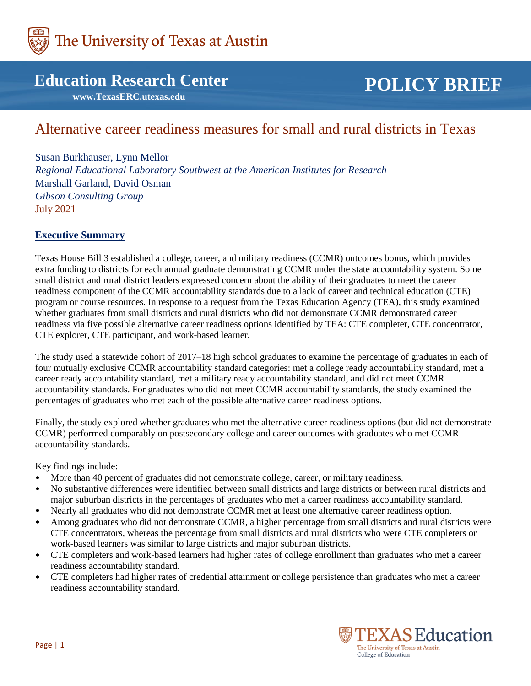

# **Education Research Center**

 **www.TexasERC.utexas.edu**

# **POLICY BRIEF**

# Alternative career readiness measures for small and rural districts in Texas

Susan Burkhauser, Lynn Mellor *Regional Educational Laboratory Southwest at the American Institutes for Research* Marshall Garland, David Osman *Gibson Consulting Group* July 2021

#### **Executive Summary**

Texas House Bill 3 established a college, career, and military readiness (CCMR) outcomes bonus, which provides extra funding to districts for each annual graduate demonstrating CCMR under the state accountability system. Some small district and rural district leaders expressed concern about the ability of their graduates to meet the career readiness component of the CCMR accountability standards due to a lack of career and technical education (CTE) program or course resources. In response to a request from the Texas Education Agency (TEA), this study examined whether graduates from small districts and rural districts who did not demonstrate CCMR demonstrated career readiness via five possible alternative career readiness options identified by TEA: CTE completer, CTE concentrator, CTE explorer, CTE participant, and work-based learner.

The study used a statewide cohort of 2017–18 high school graduates to examine the percentage of graduates in each of four mutually exclusive CCMR accountability standard categories: met a college ready accountability standard, met a career ready accountability standard, met a military ready accountability standard, and did not meet CCMR accountability standards. For graduates who did not meet CCMR accountability standards, the study examined the percentages of graduates who met each of the possible alternative career readiness options.

Finally, the study explored whether graduates who met the alternative career readiness options (but did not demonstrate CCMR) performed comparably on postsecondary college and career outcomes with graduates who met CCMR accountability standards.

Key findings include:

- More than 40 percent of graduates did not demonstrate college, career, or military readiness.
- No substantive differences were identified between small districts and large districts or between rural districts and major suburban districts in the percentages of graduates who met a career readiness accountability standard.
- Nearly all graduates who did not demonstrate CCMR met at least one alternative career readiness option.
- Among graduates who did not demonstrate CCMR, a higher percentage from small districts and rural districts were CTE concentrators, whereas the percentage from small districts and rural districts who were CTE completers or work-based learners was similar to large districts and major suburban districts.
- CTE completers and work-based learners had higher rates of college enrollment than graduates who met a career readiness accountability standard.
- CTE completers had higher rates of credential attainment or college persistence than graduates who met a career readiness accountability standard.

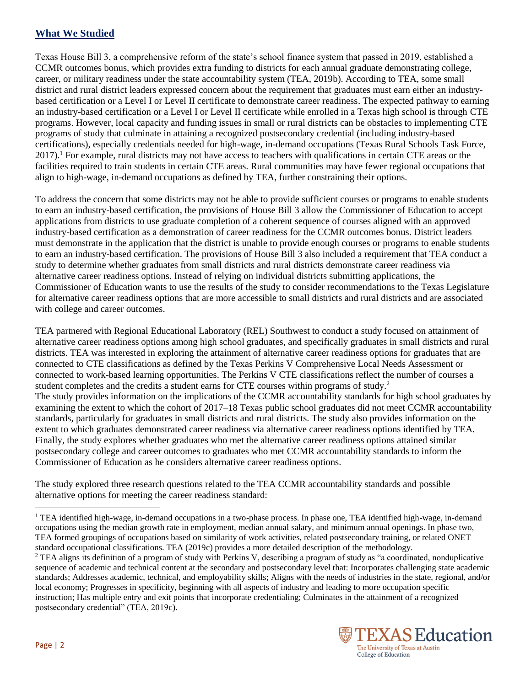# **What We Studied**

Texas House Bill 3, a comprehensive reform of the state's school finance system that passed in 2019, established a CCMR outcomes bonus, which provides extra funding to districts for each annual graduate demonstrating college, career, or military readiness under the state accountability system (TEA, 2019b). According to TEA, some small district and rural district leaders expressed concern about the requirement that graduates must earn either an industrybased certification or a Level I or Level II certificate to demonstrate career readiness. The expected pathway to earning an industry-based certification or a Level I or Level II certificate while enrolled in a Texas high school is through CTE programs. However, local capacity and funding issues in small or rural districts can be obstacles to implementing CTE programs of study that culminate in attaining a recognized postsecondary credential (including industry-based certifications), especially credentials needed for high-wage, in-demand occupations (Texas Rural Schools Task Force, 2017).<sup>1</sup> For example, rural districts may not have access to teachers with qualifications in certain CTE areas or the facilities required to train students in certain CTE areas. Rural communities may have fewer regional occupations that align to high-wage, in-demand occupations as defined by TEA, further constraining their options.

To address the concern that some districts may not be able to provide sufficient courses or programs to enable students to earn an industry-based certification, the provisions of House Bill 3 allow the Commissioner of Education to accept applications from districts to use graduate completion of a coherent sequence of courses aligned with an approved industry-based certification as a demonstration of career readiness for the CCMR outcomes bonus. District leaders must demonstrate in the application that the district is unable to provide enough courses or programs to enable students to earn an industry-based certification. The provisions of House Bill 3 also included a requirement that TEA conduct a study to determine whether graduates from small districts and rural districts demonstrate career readiness via alternative career readiness options. Instead of relying on individual districts submitting applications, the Commissioner of Education wants to use the results of the study to consider recommendations to the Texas Legislature for alternative career readiness options that are more accessible to small districts and rural districts and are associated with college and career outcomes.

TEA partnered with Regional Educational Laboratory (REL) Southwest to conduct a study focused on attainment of alternative career readiness options among high school graduates, and specifically graduates in small districts and rural districts. TEA was interested in exploring the attainment of alternative career readiness options for graduates that are connected to CTE classifications as defined by the Texas Perkins V Comprehensive Local Needs Assessment or connected to work-based learning opportunities. The Perkins V CTE classifications reflect the number of courses a student completes and the credits a student earns for CTE courses within programs of study.<sup>2</sup> The study provides information on the implications of the CCMR accountability standards for high school graduates by examining the extent to which the cohort of 2017–18 Texas public school graduates did not meet CCMR accountability standards, particularly for graduates in small districts and rural districts. The study also provides information on the extent to which graduates demonstrated career readiness via alternative career readiness options identified by TEA. Finally, the study explores whether graduates who met the alternative career readiness options attained similar postsecondary college and career outcomes to graduates who met CCMR accountability standards to inform the Commissioner of Education as he considers alternative career readiness options.

The study explored three research questions related to the TEA CCMR accountability standards and possible alternative options for meeting the career readiness standard:

<sup>&</sup>lt;sup>2</sup> TEA aligns its definition of a program of study with Perkins V, describing a program of study as "a coordinated, nonduplicative sequence of academic and technical content at the secondary and postsecondary level that: Incorporates challenging state academic standards; Addresses academic, technical, and employability skills; Aligns with the needs of industries in the state, regional, and/or local economy; Progresses in specificity, beginning with all aspects of industry and leading to more occupation specific instruction; Has multiple entry and exit points that incorporate credentialing; Culminates in the attainment of a recognized postsecondary credential" (TEA, 2019c).



 $\overline{\phantom{a}}$ 

<sup>&</sup>lt;sup>1</sup> TEA identified high-wage, in-demand occupations in a two-phase process. In phase one, TEA identified high-wage, in-demand occupations using the median growth rate in employment, median annual salary, and minimum annual openings. In phase two, TEA formed groupings of occupations based on similarity of work activities, related postsecondary training, or related ONET standard occupational classifications. TEA (2019c) provides a more detailed description of the methodology.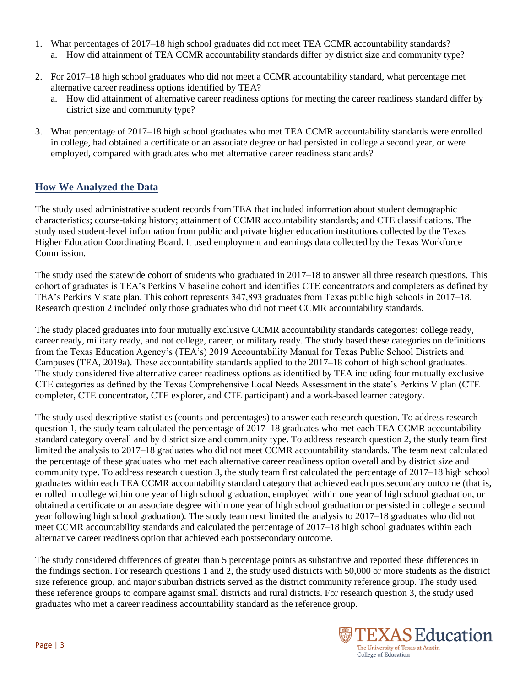- 1. What percentages of 2017–18 high school graduates did not meet TEA CCMR accountability standards? a. How did attainment of TEA CCMR accountability standards differ by district size and community type?
- 2. For 2017–18 high school graduates who did not meet a CCMR accountability standard, what percentage met alternative career readiness options identified by TEA?
	- a. How did attainment of alternative career readiness options for meeting the career readiness standard differ by district size and community type?
- 3. What percentage of 2017–18 high school graduates who met TEA CCMR accountability standards were enrolled in college, had obtained a certificate or an associate degree or had persisted in college a second year, or were employed, compared with graduates who met alternative career readiness standards?

## **How We Analyzed the Data**

The study used administrative student records from TEA that included information about student demographic characteristics; course-taking history; attainment of CCMR accountability standards; and CTE classifications. The study used student-level information from public and private higher education institutions collected by the Texas Higher Education Coordinating Board. It used employment and earnings data collected by the Texas Workforce Commission.

The study used the statewide cohort of students who graduated in 2017–18 to answer all three research questions. This cohort of graduates is TEA's Perkins V baseline cohort and identifies CTE concentrators and completers as defined by TEA's Perkins V state plan. This cohort represents 347,893 graduates from Texas public high schools in 2017–18. Research question 2 included only those graduates who did not meet CCMR accountability standards.

The study placed graduates into four mutually exclusive CCMR accountability standards categories: college ready, career ready, military ready, and not college, career, or military ready. The study based these categories on definitions from the Texas Education Agency's (TEA's) 2019 Accountability Manual for Texas Public School Districts and Campuses (TEA, 2019a). These accountability standards applied to the 2017–18 cohort of high school graduates. The study considered five alternative career readiness options as identified by TEA including four mutually exclusive CTE categories as defined by the Texas Comprehensive Local Needs Assessment in the state's Perkins V plan (CTE completer, CTE concentrator, CTE explorer, and CTE participant) and a work-based learner category.

The study used descriptive statistics (counts and percentages) to answer each research question. To address research question 1, the study team calculated the percentage of 2017–18 graduates who met each TEA CCMR accountability standard category overall and by district size and community type. To address research question 2, the study team first limited the analysis to 2017–18 graduates who did not meet CCMR accountability standards. The team next calculated the percentage of these graduates who met each alternative career readiness option overall and by district size and community type. To address research question 3, the study team first calculated the percentage of 2017–18 high school graduates within each TEA CCMR accountability standard category that achieved each postsecondary outcome (that is, enrolled in college within one year of high school graduation, employed within one year of high school graduation, or obtained a certificate or an associate degree within one year of high school graduation or persisted in college a second year following high school graduation). The study team next limited the analysis to 2017–18 graduates who did not meet CCMR accountability standards and calculated the percentage of 2017–18 high school graduates within each alternative career readiness option that achieved each postsecondary outcome.

The study considered differences of greater than 5 percentage points as substantive and reported these differences in the findings section. For research questions 1 and 2, the study used districts with 50,000 or more students as the district size reference group, and major suburban districts served as the district community reference group. The study used these reference groups to compare against small districts and rural districts. For research question 3, the study used graduates who met a career readiness accountability standard as the reference group.

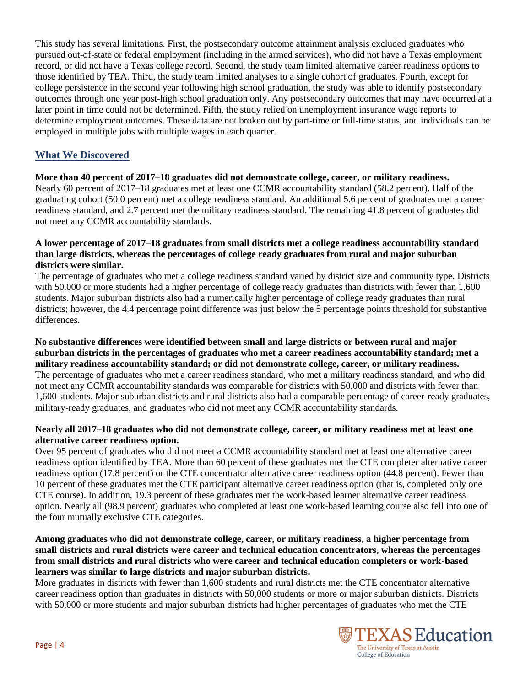This study has several limitations. First, the postsecondary outcome attainment analysis excluded graduates who pursued out-of-state or federal employment (including in the armed services), who did not have a Texas employment record, or did not have a Texas college record. Second, the study team limited alternative career readiness options to those identified by TEA. Third, the study team limited analyses to a single cohort of graduates. Fourth, except for college persistence in the second year following high school graduation, the study was able to identify postsecondary outcomes through one year post-high school graduation only. Any postsecondary outcomes that may have occurred at a later point in time could not be determined. Fifth, the study relied on unemployment insurance wage reports to determine employment outcomes. These data are not broken out by part-time or full-time status, and individuals can be employed in multiple jobs with multiple wages in each quarter.

## **What We Discovered**

#### **More than 40 percent of 2017–18 graduates did not demonstrate college, career, or military readiness.**

Nearly 60 percent of 2017–18 graduates met at least one CCMR accountability standard (58.2 percent). Half of the graduating cohort (50.0 percent) met a college readiness standard. An additional 5.6 percent of graduates met a career readiness standard, and 2.7 percent met the military readiness standard. The remaining 41.8 percent of graduates did not meet any CCMR accountability standards.

#### **A lower percentage of 2017–18 graduates from small districts met a college readiness accountability standard than large districts, whereas the percentages of college ready graduates from rural and major suburban districts were similar.**

The percentage of graduates who met a college readiness standard varied by district size and community type. Districts with 50,000 or more students had a higher percentage of college ready graduates than districts with fewer than 1,600 students. Major suburban districts also had a numerically higher percentage of college ready graduates than rural districts; however, the 4.4 percentage point difference was just below the 5 percentage points threshold for substantive differences.

**No substantive differences were identified between small and large districts or between rural and major suburban districts in the percentages of graduates who met a career readiness accountability standard; met a military readiness accountability standard; or did not demonstrate college, career, or military readiness.** The percentage of graduates who met a career readiness standard, who met a military readiness standard, and who did not meet any CCMR accountability standards was comparable for districts with 50,000 and districts with fewer than 1,600 students. Major suburban districts and rural districts also had a comparable percentage of career-ready graduates, military-ready graduates, and graduates who did not meet any CCMR accountability standards.

#### **Nearly all 2017–18 graduates who did not demonstrate college, career, or military readiness met at least one alternative career readiness option.**

Over 95 percent of graduates who did not meet a CCMR accountability standard met at least one alternative career readiness option identified by TEA. More than 60 percent of these graduates met the CTE completer alternative career readiness option (17.8 percent) or the CTE concentrator alternative career readiness option (44.8 percent). Fewer than 10 percent of these graduates met the CTE participant alternative career readiness option (that is, completed only one CTE course). In addition, 19.3 percent of these graduates met the work-based learner alternative career readiness option. Nearly all (98.9 percent) graduates who completed at least one work-based learning course also fell into one of the four mutually exclusive CTE categories.

#### **Among graduates who did not demonstrate college, career, or military readiness, a higher percentage from small districts and rural districts were career and technical education concentrators, whereas the percentages from small districts and rural districts who were career and technical education completers or work-based learners was similar to large districts and major suburban districts.**

More graduates in districts with fewer than 1,600 students and rural districts met the CTE concentrator alternative career readiness option than graduates in districts with 50,000 students or more or major suburban districts. Districts with 50,000 or more students and major suburban districts had higher percentages of graduates who met the CTE

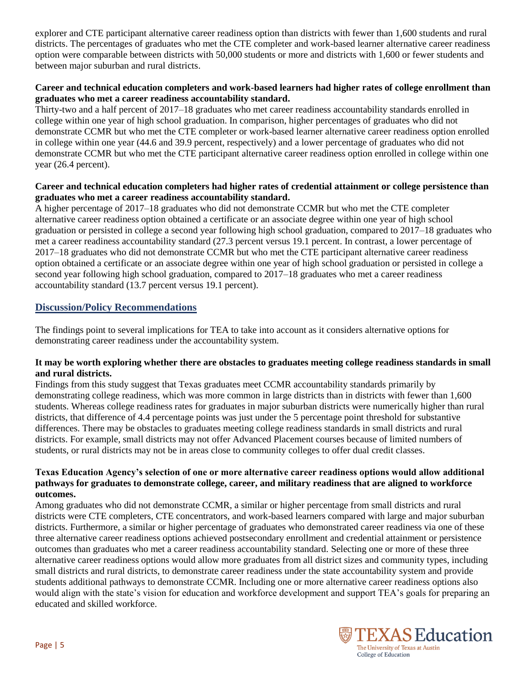explorer and CTE participant alternative career readiness option than districts with fewer than 1,600 students and rural districts. The percentages of graduates who met the CTE completer and work-based learner alternative career readiness option were comparable between districts with 50,000 students or more and districts with 1,600 or fewer students and between major suburban and rural districts.

#### **Career and technical education completers and work-based learners had higher rates of college enrollment than graduates who met a career readiness accountability standard.**

Thirty-two and a half percent of 2017–18 graduates who met career readiness accountability standards enrolled in college within one year of high school graduation. In comparison, higher percentages of graduates who did not demonstrate CCMR but who met the CTE completer or work-based learner alternative career readiness option enrolled in college within one year (44.6 and 39.9 percent, respectively) and a lower percentage of graduates who did not demonstrate CCMR but who met the CTE participant alternative career readiness option enrolled in college within one year (26.4 percent).

#### **Career and technical education completers had higher rates of credential attainment or college persistence than graduates who met a career readiness accountability standard.**

A higher percentage of 2017–18 graduates who did not demonstrate CCMR but who met the CTE completer alternative career readiness option obtained a certificate or an associate degree within one year of high school graduation or persisted in college a second year following high school graduation, compared to 2017–18 graduates who met a career readiness accountability standard (27.3 percent versus 19.1 percent. In contrast, a lower percentage of 2017–18 graduates who did not demonstrate CCMR but who met the CTE participant alternative career readiness option obtained a certificate or an associate degree within one year of high school graduation or persisted in college a second year following high school graduation, compared to 2017–18 graduates who met a career readiness accountability standard (13.7 percent versus 19.1 percent).

### **Discussion/Policy Recommendations**

The findings point to several implications for TEA to take into account as it considers alternative options for demonstrating career readiness under the accountability system.

#### **It may be worth exploring whether there are obstacles to graduates meeting college readiness standards in small and rural districts.**

Findings from this study suggest that Texas graduates meet CCMR accountability standards primarily by demonstrating college readiness, which was more common in large districts than in districts with fewer than 1,600 students. Whereas college readiness rates for graduates in major suburban districts were numerically higher than rural districts, that difference of 4.4 percentage points was just under the 5 percentage point threshold for substantive differences. There may be obstacles to graduates meeting college readiness standards in small districts and rural districts. For example, small districts may not offer Advanced Placement courses because of limited numbers of students, or rural districts may not be in areas close to community colleges to offer dual credit classes.

#### **Texas Education Agency's selection of one or more alternative career readiness options would allow additional pathways for graduates to demonstrate college, career, and military readiness that are aligned to workforce outcomes.**

Among graduates who did not demonstrate CCMR, a similar or higher percentage from small districts and rural districts were CTE completers, CTE concentrators, and work-based learners compared with large and major suburban districts. Furthermore, a similar or higher percentage of graduates who demonstrated career readiness via one of these three alternative career readiness options achieved postsecondary enrollment and credential attainment or persistence outcomes than graduates who met a career readiness accountability standard. Selecting one or more of these three alternative career readiness options would allow more graduates from all district sizes and community types, including small districts and rural districts, to demonstrate career readiness under the state accountability system and provide students additional pathways to demonstrate CCMR. Including one or more alternative career readiness options also would align with the state's vision for education and workforce development and support TEA's goals for preparing an educated and skilled workforce.